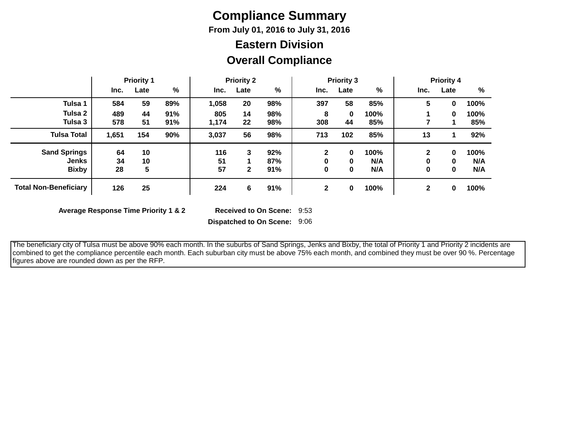# **Compliance Summary**

**From July 01, 2016 to July 31, 2016**

# **Eastern Division**

#### **Overall Compliance**

|                              | <b>Priority 1</b> |      |     | <b>Priority 2</b> |              |     | <b>Priority 3</b> |      |      | <b>Priority 4</b> |          |      |
|------------------------------|-------------------|------|-----|-------------------|--------------|-----|-------------------|------|------|-------------------|----------|------|
|                              | Inc.              | Late | %   | Inc.              | Late         | %   | Inc.              | Late | %    | Inc.              | Late     | %    |
| Tulsa 1                      | 584               | 59   | 89% | 1,058             | 20           | 98% | 397               | 58   | 85%  | 5                 | 0        | 100% |
| Tulsa 2                      | 489               | 44   | 91% | 805               | 14           | 98% | 8                 | 0    | 100% |                   | $\bf{0}$ | 100% |
| Tulsa 3                      | 578               | 51   | 91% | 1,174             | 22           | 98% | 308               | 44   | 85%  |                   |          | 85%  |
| <b>Tulsa Total</b>           | 1,651             | 154  | 90% | 3,037             | 56           | 98% | 713               | 102  | 85%  | 13                |          | 92%  |
| <b>Sand Springs</b>          | 64                | 10   |     | 116               | 3            | 92% | $\mathbf{2}$      | 0    | 100% | $\mathbf{2}$      | 0        | 100% |
| Jenks                        | 34                | 10   |     | 51                |              | 87% | 0                 | 0    | N/A  | 0                 | 0        | N/A  |
| <b>Bixby</b>                 | 28                | 5    |     | 57                | $\mathbf{2}$ | 91% | 0                 | 0    | N/A  | 0                 | 0        | N/A  |
| <b>Total Non-Beneficiary</b> | 126               | 25   |     | 224               | 6            | 91% | $\mathbf{2}$      | 0    | 100% | $\mathbf{2}$      | 0        | 100% |

**Average Response Time Priority 1 & 2** 

Received to On Scene: 9:53

**Dispatched to On Scene:** 9:06

 The beneficiary city of Tulsa must be above 90% each month. In the suburbs of Sand Springs, Jenks and Bixby, the total of Priority 1 and Priority 2 incidents are combined to get the compliance percentile each month. Each suburban city must be above 75% each month, and combined they must be over 90 %. Percentage figures above are rounded down as per the RFP.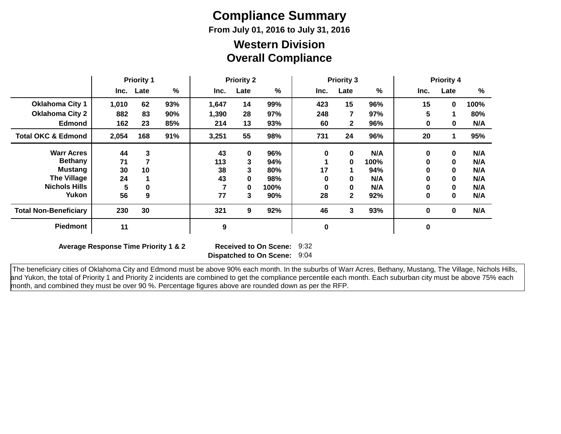# **Compliance Summary**

**From July 01, 2016 to July 31, 2016**

#### **Overall Compliance Western Division**

|                               | <b>Priority 1</b> |      | <b>Priority 2</b> |       |             | <b>Priority 3</b> |          |      | <b>Priority 4</b> |      |              |      |
|-------------------------------|-------------------|------|-------------------|-------|-------------|-------------------|----------|------|-------------------|------|--------------|------|
|                               | Inc.              | Late | %                 | Inc.  | Late        | $\%$              | Inc.     | Late | %                 | Inc. | Late         | $\%$ |
| <b>Oklahoma City 1</b>        | 1,010             | 62   | 93%               | 1,647 | 14          | 99%               | 423      | 15   | 96%               | 15   | $\mathbf 0$  | 100% |
| <b>Oklahoma City 2</b>        | 882               | 83   | 90%               | 1,390 | 28          | 97%               | 248      | 7    | 97%               | 5    |              | 80%  |
| <b>Edmond</b>                 | 162               | 23   | 85%               | 214   | 13          | 93%               | 60       | 2    | 96%               | 0    | 0            | N/A  |
| <b>Total OKC &amp; Edmond</b> | 2,054             | 168  | 91%               | 3,251 | 55          | 98%               | 731      | 24   | 96%               | 20   |              | 95%  |
| <b>Warr Acres</b>             | 44                | 3    |                   | 43    | $\mathbf 0$ | 96%               | $\bf{0}$ | 0    | N/A               | 0    | $\mathbf{0}$ | N/A  |
| <b>Bethany</b>                | 71                |      |                   | 113   | 3           | 94%               |          | 0    | 100%              | 0    | $\mathbf{0}$ | N/A  |
| Mustang                       | 30                | 10   |                   | 38    | 3           | 80%               | 17       | 1.   | 94%               | 0    | $\mathbf{0}$ | N/A  |
| <b>The Village</b>            | 24                |      |                   | 43    | $\bf{0}$    | 98%               | 0        | 0    | N/A               | 0    | $\bf{0}$     | N/A  |
| <b>Nichols Hills</b>          | 5                 | 0    |                   |       | $\bf{0}$    | 100%              | 0        | 0    | N/A               | 0    | $\bf{0}$     | N/A  |
| Yukon                         | 56                | 9    |                   | 77    | 3           | 90%               | 28       | 2    | 92%               | 0    | $\bf{0}$     | N/A  |
| <b>Total Non-Beneficiary</b>  | 230               | 30   |                   | 321   | 9           | 92%               | 46       | 3    | 93%               | 0    | $\mathbf 0$  | N/A  |
| <b>Piedmont</b>               | 11                |      |                   | 9     |             |                   | $\bf{0}$ |      |                   | 0    |              |      |

**Average Response Time Priority 1 & 2** 

**Dispatched to On Scene:** 9:04 Received to On Scene: 9:32

 The beneficiary cities of Oklahoma City and Edmond must be above 90% each month. In the suburbs of Warr Acres, Bethany, Mustang, The Village, Nichols Hills, and Yukon, the total of Priority 1 and Priority 2 incidents are combined to get the compliance percentile each month. Each suburban city must be above 75% each month, and combined they must be over 90 %. Percentage figures above are rounded down as per the RFP.